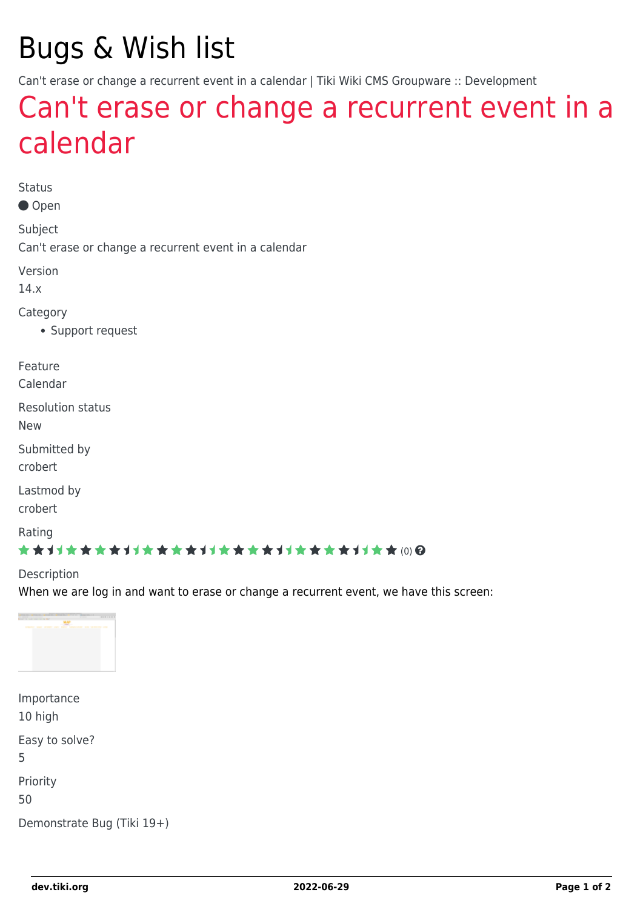# Bugs & Wish list

Can't erase or change a recurrent event in a calendar | Tiki Wiki CMS Groupware :: Development

## [Can't erase or change a recurrent event in a](https://dev.tiki.org/item5811-Can-t-erase-or-change-a-recurrent-event-in-a-calendar) [calendar](https://dev.tiki.org/item5811-Can-t-erase-or-change-a-recurrent-event-in-a-calendar)

Status

● Open

Subject

Can't erase or change a recurrent event in a calendar

Version

14.x

**Category** 

Support request

Feature

Calendar

Resolution status

New

Submitted by crobert

Lastmod by

crobert

Rating

#### \*\*\*\*\*\*\*\*\*\*\*\*\*\*\*\*\*\*\*\*\*\*\*\*\*\*\*\*\*\*

#### Description

When we are log in and want to erase or change a recurrent event, we have this screen:



| Importance                 |
|----------------------------|
| 10 high                    |
| Easy to solve?<br>5        |
| Priority<br>50             |
| Demonstrate Bug (Tiki 19+) |